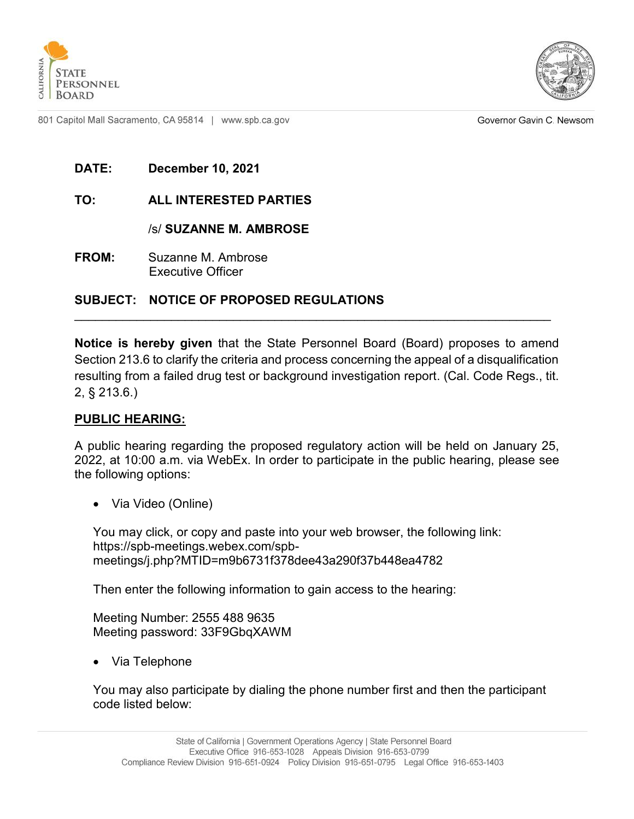



Governor Gavin C. Newsom

**DATE: December 10, 2021**

### **TO: ALL INTERESTED PARTIES**

/s/ **SUZANNE M. AMBROSE**

**FROM:** Suzanne M. Ambrose Executive Officer

### **SUBJECT: NOTICE OF PROPOSED REGULATIONS**

**Notice is hereby given** that the State Personnel Board (Board) proposes to amend Section 213.6 to clarify the criteria and process concerning the appeal of a disqualification resulting from a failed drug test or background investigation report. (Cal. Code Regs., tit. 2, § 213.6.)

\_\_\_\_\_\_\_\_\_\_\_\_\_\_\_\_\_\_\_\_\_\_\_\_\_\_\_\_\_\_\_\_\_\_\_\_\_\_\_\_\_\_\_\_\_\_\_\_\_\_\_\_\_\_\_\_\_\_\_\_\_\_\_\_\_\_\_\_\_

#### **PUBLIC HEARING:**

A public hearing regarding the proposed regulatory action will be held on January 25, 2022, at 10:00 a.m. via WebEx. In order to participate in the public hearing, please see the following options:

· Via Video (Online)

You may click, or copy and paste into your web browser, the following link: https://spb-meetings.webex.com/spbmeetings/j.php?MTID=m9b6731f378dee43a290f37b448ea4782

Then enter the following information to gain access to the hearing:

Meeting Number: 2555 488 9635 Meeting password: 33F9GbqXAWM

· Via Telephone

You may also participate by dialing the phone number first and then the participant code listed below: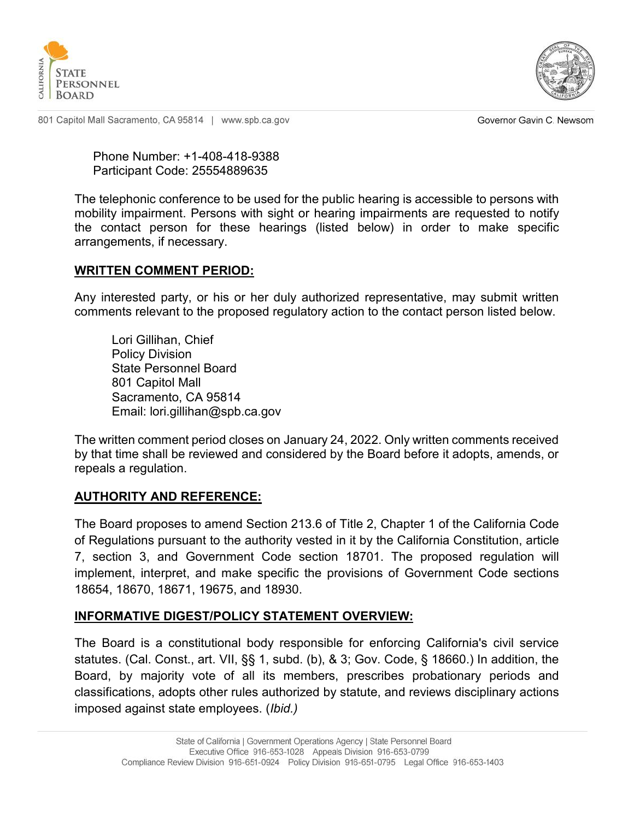



Governor Gavin C. Newsom

Phone Number: +1-408-418-9388 Participant Code: 25554889635

The telephonic conference to be used for the public hearing is accessible to persons with mobility impairment. Persons with sight or hearing impairments are requested to notify the contact person for these hearings (listed below) in order to make specific arrangements, if necessary.

#### **WRITTEN COMMENT PERIOD:**

Any interested party, or his or her duly authorized representative, may submit written comments relevant to the proposed regulatory action to the contact person listed below.

Lori Gillihan, Chief Policy Division State Personnel Board 801 Capitol Mall Sacramento, CA 95814 Email: lori.gillihan@spb.ca.gov

The written comment period closes on January 24, 2022. Only written comments received by that time shall be reviewed and considered by the Board before it adopts, amends, or repeals a regulation.

### **AUTHORITY AND REFERENCE:**

The Board proposes to amend Section 213.6 of Title 2, Chapter 1 of the California Code of Regulations pursuant to the authority vested in it by the California Constitution, article 7, section 3, and Government Code section 18701. The proposed regulation will implement, interpret, and make specific the provisions of Government Code sections 18654, 18670, 18671, 19675, and 18930.

### **INFORMATIVE DIGEST/POLICY STATEMENT OVERVIEW:**

The Board is a constitutional body responsible for enforcing California's civil service statutes. (Cal. Const., art. VII, §§ 1, subd. (b), & 3; Gov. Code, § 18660.) In addition, the Board, by majority vote of all its members, prescribes probationary periods and classifications, adopts other rules authorized by statute, and reviews disciplinary actions imposed against state employees. (*Ibid.)*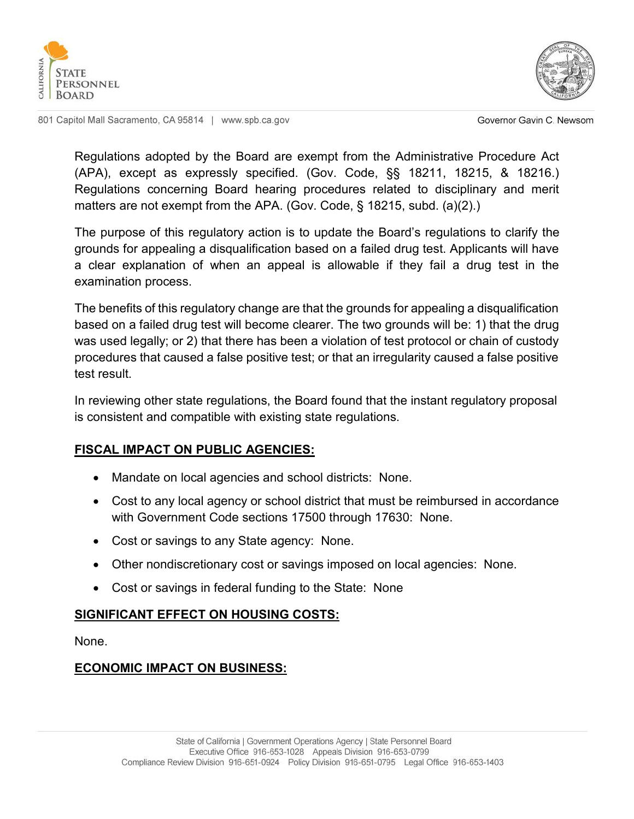



Governor Gavin C. Newsom

Regulations adopted by the Board are exempt from the Administrative Procedure Act (APA), except as expressly specified. (Gov. Code, §§ 18211, 18215, & 18216.) Regulations concerning Board hearing procedures related to disciplinary and merit matters are not exempt from the APA. (Gov. Code, § 18215, subd. (a)(2).)

The purpose of this regulatory action is to update the Board's regulations to clarify the grounds for appealing a disqualification based on a failed drug test. Applicants will have a clear explanation of when an appeal is allowable if they fail a drug test in the examination process.

The benefits of this regulatory change are that the grounds for appealing a disqualification based on a failed drug test will become clearer. The two grounds will be: 1) that the drug was used legally; or 2) that there has been a violation of test protocol or chain of custody procedures that caused a false positive test; or that an irregularity caused a false positive test result.

In reviewing other state regulations, the Board found that the instant regulatory proposal is consistent and compatible with existing state regulations.

# **FISCAL IMPACT ON PUBLIC AGENCIES:**

- · Mandate on local agencies and school districts: None.
- · Cost to any local agency or school district that must be reimbursed in accordance with Government Code sections 17500 through 17630: None.
- Cost or savings to any State agency: None.
- · Other nondiscretionary cost or savings imposed on local agencies: None.
- · Cost or savings in federal funding to the State: None

### **SIGNIFICANT EFFECT ON HOUSING COSTS:**

None.

# **ECONOMIC IMPACT ON BUSINESS:**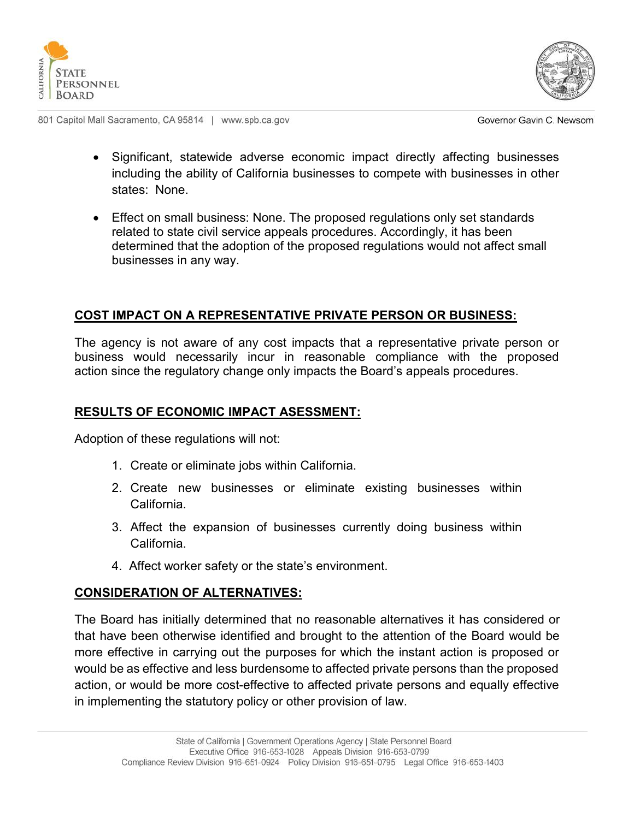



Governor Gavin C. Newsom

- · Significant, statewide adverse economic impact directly affecting businesses including the ability of California businesses to compete with businesses in other states: None.
- · Effect on small business: None. The proposed regulations only set standards related to state civil service appeals procedures. Accordingly, it has been determined that the adoption of the proposed regulations would not affect small businesses in any way.

# **COST IMPACT ON A REPRESENTATIVE PRIVATE PERSON OR BUSINESS:**

The agency is not aware of any cost impacts that a representative private person or business would necessarily incur in reasonable compliance with the proposed action since the regulatory change only impacts the Board's appeals procedures.

### **RESULTS OF ECONOMIC IMPACT ASESSMENT:**

Adoption of these regulations will not:

- 1. Create or eliminate jobs within California.
- 2. Create new businesses or eliminate existing businesses within California.
- 3. Affect the expansion of businesses currently doing business within California.
- 4. Affect worker safety or the state's environment.

### **CONSIDERATION OF ALTERNATIVES:**

The Board has initially determined that no reasonable alternatives it has considered or that have been otherwise identified and brought to the attention of the Board would be more effective in carrying out the purposes for which the instant action is proposed or would be as effective and less burdensome to affected private persons than the proposed action, or would be more cost-effective to affected private persons and equally effective in implementing the statutory policy or other provision of law.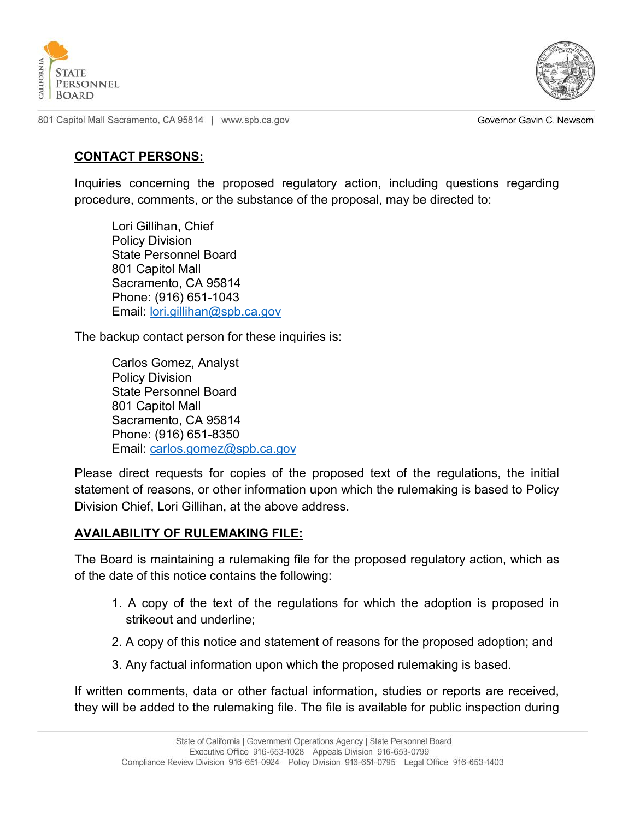



Governor Gavin C. Newsom

### **CONTACT PERSONS:**

Inquiries concerning the proposed regulatory action, including questions regarding procedure, comments, or the substance of the proposal, may be directed to:

Lori Gillihan, Chief Policy Division State Personnel Board 801 Capitol Mall Sacramento, CA 95814 Phone: (916) 651-1043 Email: [lori.gillihan@spb.ca.gov](mailto:lori.gillihan@spb.ca.gov)

The backup contact person for these inquiries is:

Carlos Gomez, Analyst Policy Division State Personnel Board 801 Capitol Mall Sacramento, CA 95814 Phone: (916) 651-8350 Email: [carlos.gomez@spb.ca.gov](mailto:carlos.gomez@spb.ca.gov)

Please direct requests for copies of the proposed text of the regulations, the initial statement of reasons, or other information upon which the rulemaking is based to Policy Division Chief, Lori Gillihan, at the above address.

### **AVAILABILITY OF RULEMAKING FILE:**

The Board is maintaining a rulemaking file for the proposed regulatory action, which as of the date of this notice contains the following:

- 1. A copy of the text of the regulations for which the adoption is proposed in strikeout and underline;
- 2. A copy of this notice and statement of reasons for the proposed adoption; and
- 3. Any factual information upon which the proposed rulemaking is based.

If written comments, data or other factual information, studies or reports are received, they will be added to the rulemaking file. The file is available for public inspection during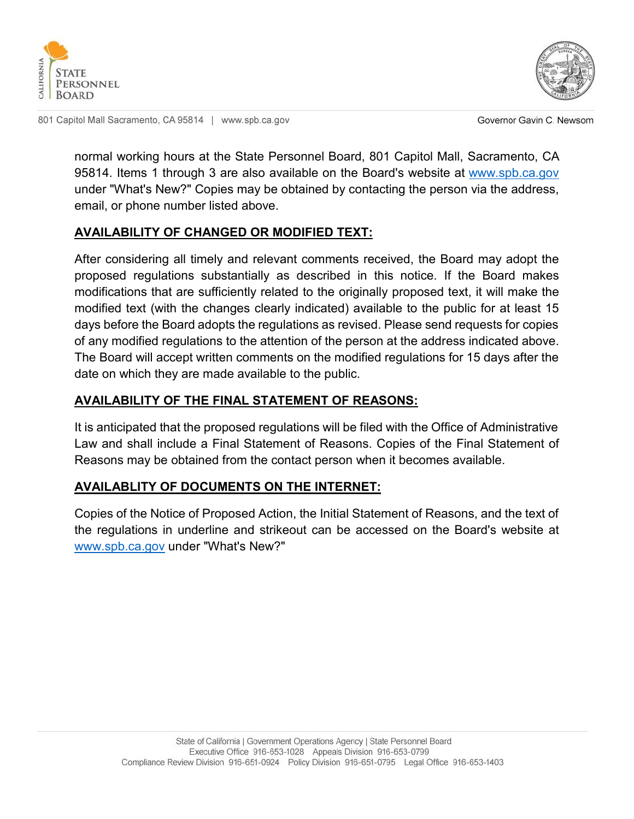



Governor Gavin C. Newsom

normal working hours at the State Personnel Board, 801 Capitol Mall, Sacramento, CA 95814. Items 1 through 3 are also available on the Board's website at [www.spb.ca.gov](http://www.spb.ca.gov/) under "What's New?" Copies may be obtained by contacting the person via the address, email, or phone number listed above.

## **AVAILABILITY OF CHANGED OR MODIFIED TEXT:**

After considering all timely and relevant comments received, the Board may adopt the proposed regulations substantially as described in this notice. If the Board makes modifications that are sufficiently related to the originally proposed text, it will make the modified text (with the changes clearly indicated) available to the public for at least 15 days before the Board adopts the regulations as revised. Please send requests for copies of any modified regulations to the attention of the person at the address indicated above. The Board will accept written comments on the modified regulations for 15 days after the date on which they are made available to the public.

## **AVAILABILITY OF THE FINAL STATEMENT OF REASONS:**

It is anticipated that the proposed regulations will be filed with the Office of Administrative Law and shall include a Final Statement of Reasons. Copies of the Final Statement of Reasons may be obtained from the contact person when it becomes available.

### **AVAILABLITY OF DOCUMENTS ON THE INTERNET:**

Copies of the Notice of Proposed Action, the Initial Statement of Reasons, and the text of the regulations in underline and strikeout can be accessed on the Board's website at [www.spb.ca.gov](http://www.spb.ca.gov/) under "What's New?"